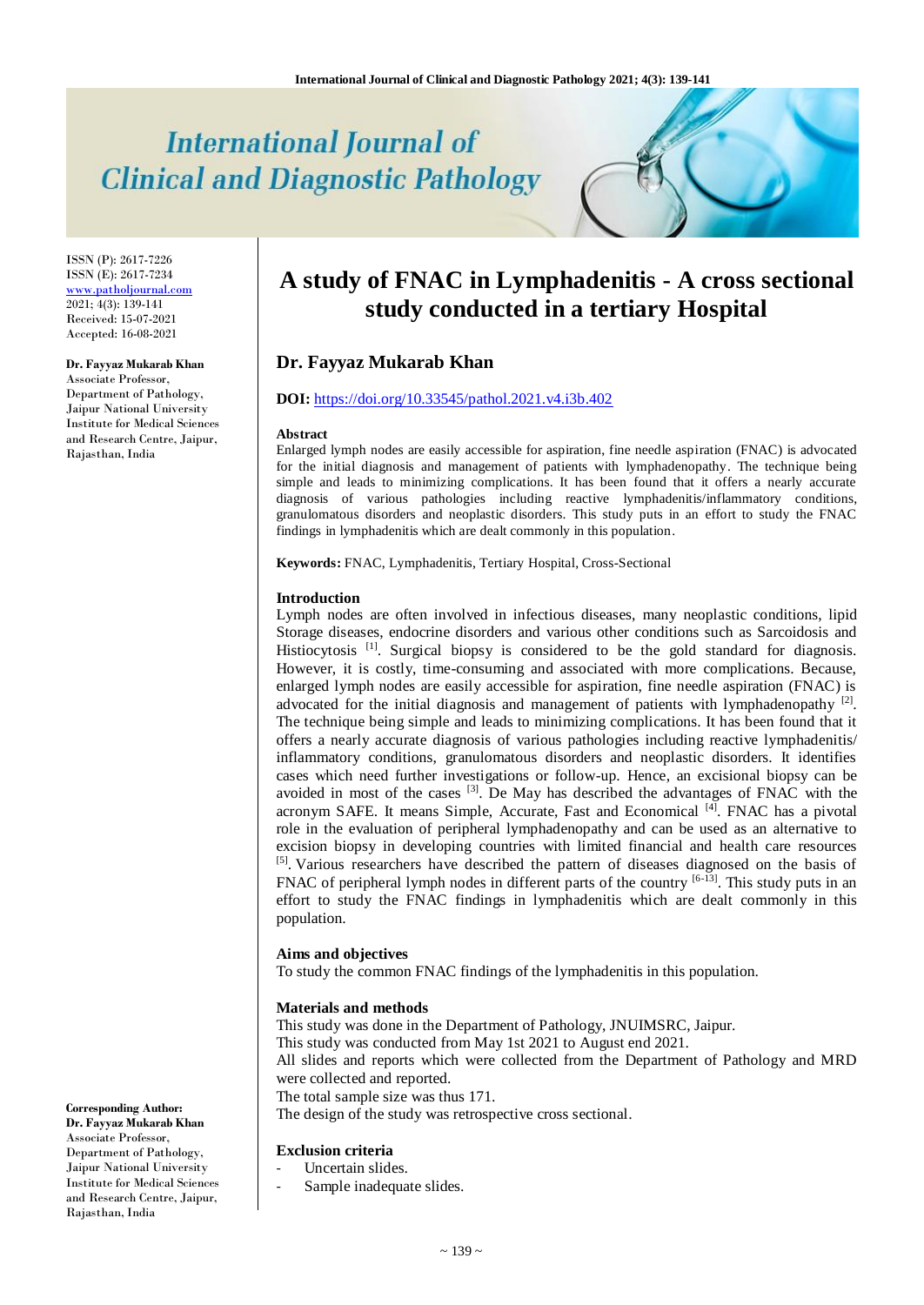# **International Journal of Clinical and Diagnostic Pathology**

ISSN (P): 2617-7226 ISSN (E): 2617-7234 [www.patholjournal.com](http://www.patholjournal.com/) 2021; 4(3): 139-141 Received: 15-07-2021 Accepted: 16-08-2021

#### **Dr. Fayyaz Mukarab Khan**

Associate Professor, Department of Pathology, Jaipur National University Institute for Medical Sciences and Research Centre, Jaipur, Rajasthan, India

## **A study of FNAC in Lymphadenitis - A cross sectional study conducted in a tertiary Hospital**

## **Dr. Fayyaz Mukarab Khan**

## **DOI:** <https://doi.org/10.33545/pathol.2021.v4.i3b.402>

#### **Abstract**

Enlarged lymph nodes are easily accessible for aspiration, fine needle aspiration (FNAC) is advocated for the initial diagnosis and management of patients with lymphadenopathy. The technique being simple and leads to minimizing complications. It has been found that it offers a nearly accurate diagnosis of various pathologies including reactive lymphadenitis/inflammatory conditions, granulomatous disorders and neoplastic disorders. This study puts in an effort to study the FNAC findings in lymphadenitis which are dealt commonly in this population.

**Keywords:** FNAC, Lymphadenitis, Tertiary Hospital, Cross-Sectional

#### **Introduction**

Lymph nodes are often involved in infectious diseases, many neoplastic conditions, lipid Storage diseases, endocrine disorders and various other conditions such as Sarcoidosis and Histiocytosis <sup>[1]</sup>. Surgical biopsy is considered to be the gold standard for diagnosis. However, it is costly, time-consuming and associated with more complications. Because, enlarged lymph nodes are easily accessible for aspiration, fine needle aspiration (FNAC) is advocated for the initial diagnosis and management of patients with lymphadenopathy  $[2]$ . The technique being simple and leads to minimizing complications. It has been found that it offers a nearly accurate diagnosis of various pathologies including reactive lymphadenitis/ inflammatory conditions, granulomatous disorders and neoplastic disorders. It identifies cases which need further investigations or follow-up. Hence, an excisional biopsy can be avoided in most of the cases <sup>[3]</sup>. De May has described the advantages of FNAC with the acronym SAFE. It means Simple, Accurate, Fast and Economical [4]. FNAC has a pivotal role in the evaluation of peripheral lymphadenopathy and can be used as an alternative to excision biopsy in developing countries with limited financial and health care resources [5]. Various researchers have described the pattern of diseases diagnosed on the basis of FNAC of peripheral lymph nodes in different parts of the country  $[6-13]$ . This study puts in an effort to study the FNAC findings in lymphadenitis which are dealt commonly in this population.

## **Aims and objectives**

To study the common FNAC findings of the lymphadenitis in this population.

#### **Materials and methods**

This study was done in the Department of Pathology, JNUIMSRC, Jaipur. This study was conducted from May 1st 2021 to August end 2021. All slides and reports which were collected from the Department of Pathology and MRD were collected and reported. The total sample size was thus 171.

The design of the study was retrospective cross sectional.

## **Exclusion criteria**

- Uncertain slides.
- Sample inadequate slides.

**Corresponding Author: Dr. Fayyaz Mukarab Khan** Associate Professor, Department of Pathology, Jaipur National University Institute for Medical Sciences and Research Centre, Jaipur, Rajasthan, India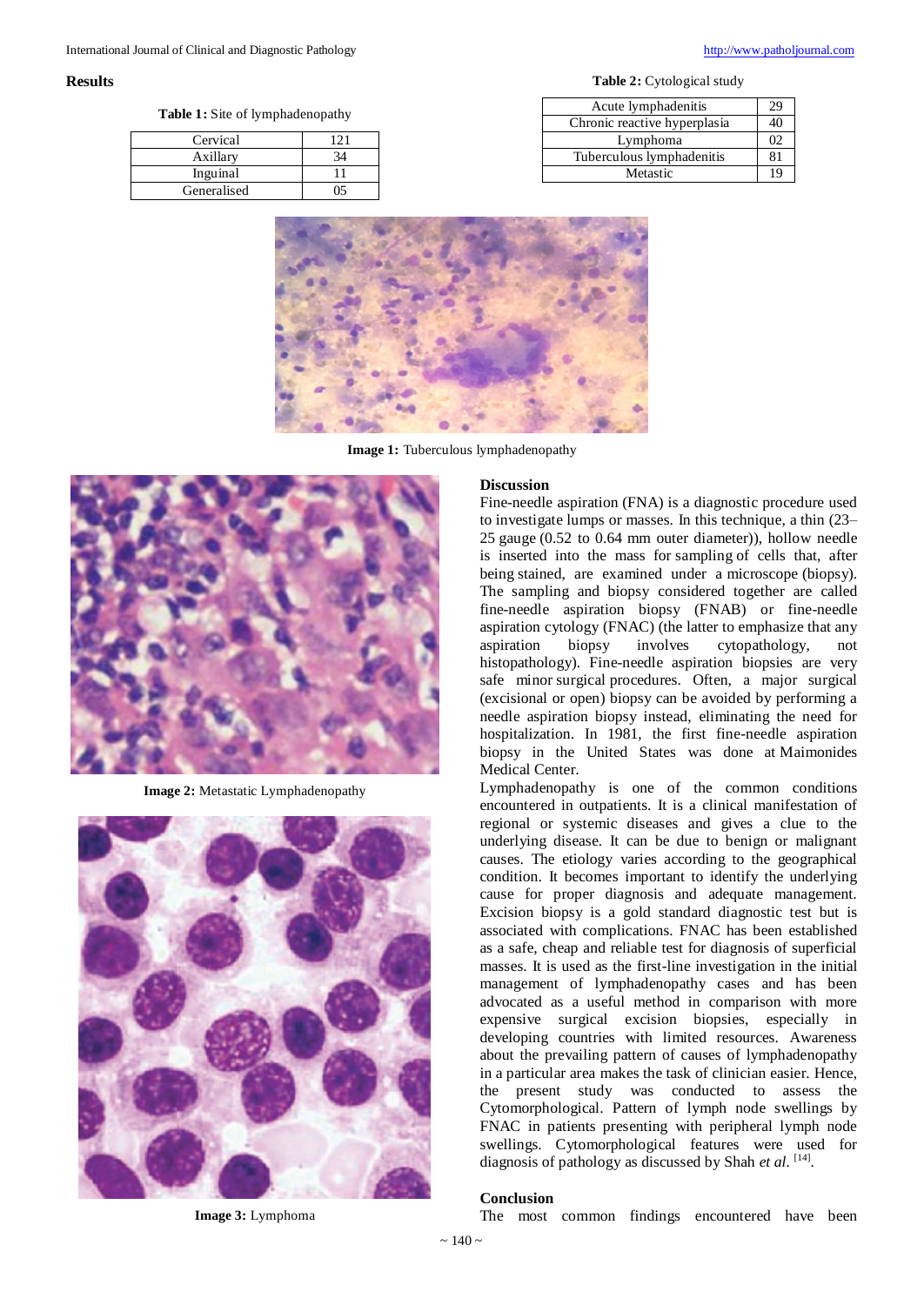**Results**

**Table 2:** Cytological study

### **Table 1:** Site of lymphadenopathy

| Cervical    | 121 |
|-------------|-----|
| Axillary    |     |
| Inguinal    |     |
| Generalised |     |

| Acute lymphadenitis          | 29 |
|------------------------------|----|
| Chronic reactive hyperplasia | 40 |
| Lymphoma                     | 02 |
| Tuberculous lymphadenitis    | 81 |
| Metastic                     | 19 |



**Image 1:** Tuberculous lymphadenopathy



**Image 2:** Metastatic Lymphadenopathy



**Image 3:** Lymphoma

#### **Discussion**

Fine-needle aspiration (FNA) is a diagnostic procedure used to investigate lumps or masses. In this technique, a thin (23– 25 gauge (0.52 to 0.64 mm outer diameter)), hollow needle is inserted into the mass for sampling of cells that, after being stained, are examined under a microscope (biopsy). The sampling and biopsy considered together are called fine-needle aspiration biopsy (FNAB) or fine-needle aspiration cytology (FNAC) (the latter to emphasize that any aspiration biopsy involves cytopathology, not histopathology). Fine-needle aspiration biopsies are very safe minor surgical procedures. Often, a major surgical (excisional or open) biopsy can be avoided by performing a needle aspiration biopsy instead, eliminating the need for hospitalization. In 1981, the first fine-needle aspiration biopsy in the United States was done at Maimonides Medical Center.

Lymphadenopathy is one of the common conditions encountered in outpatients. It is a clinical manifestation of regional or systemic diseases and gives a clue to the underlying disease. It can be due to benign or malignant causes. The etiology varies according to the geographical condition. It becomes important to identify the underlying cause for proper diagnosis and adequate management. Excision biopsy is a gold standard diagnostic test but is associated with complications. FNAC has been established as a safe, cheap and reliable test for diagnosis of superficial masses. It is used as the first-line investigation in the initial management of lymphadenopathy cases and has been advocated as a useful method in comparison with more expensive surgical excision biopsies, especially in developing countries with limited resources. Awareness about the prevailing pattern of causes of lymphadenopathy in a particular area makes the task of clinician easier. Hence, the present study was conducted to assess the Cytomorphological. Pattern of lymph node swellings by FNAC in patients presenting with peripheral lymph node swellings. Cytomorphological features were used for diagnosis of pathology as discussed by Shah et al. [14].

#### **Conclusion**

The most common findings encountered have been